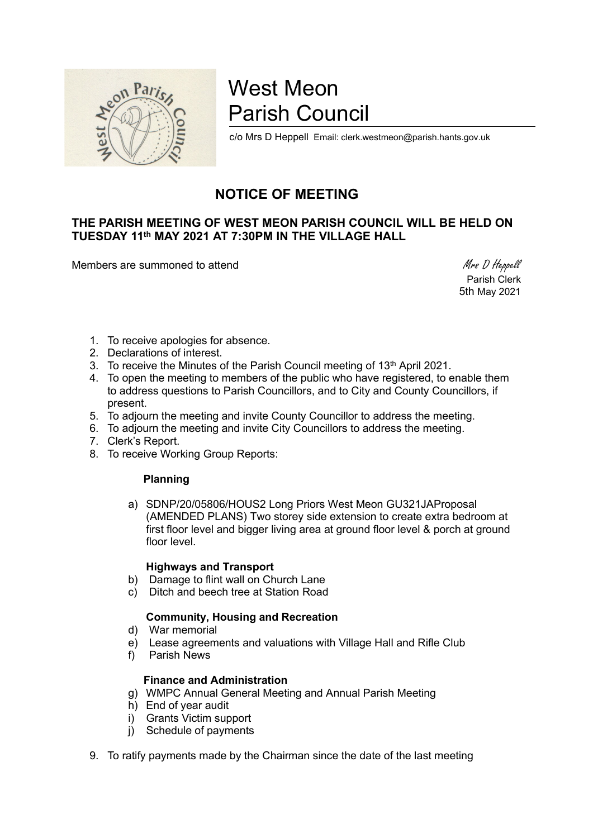

# West Meon Parish Council

c/o Mrs D Heppell Email: clerk.westmeon@parish.hants.gov.uk

## NOTICE OF MEETING

### THE PARISH MEETING OF WEST MEON PARISH COUNCIL WILL BE HELD ON TUESDAY 11th MAY 2021 AT 7:30PM IN THE VILLAGE HALL

Members are summoned to attend Members are summoned to attend Members are summoned to attend Members and Members are summoned to attend  $M$ rs D Heppell

 Parish Clerk 5th May 2021

- 1. To receive apologies for absence.
- 2. Declarations of interest.
- 3. To receive the Minutes of the Parish Council meeting of  $13<sup>th</sup>$  April 2021.
- 4. To open the meeting to members of the public who have registered, to enable them to address questions to Parish Councillors, and to City and County Councillors, if present.
- 5. To adjourn the meeting and invite County Councillor to address the meeting.
- 6. To adjourn the meeting and invite City Councillors to address the meeting.
- 7. Clerk's Report.
- 8. To receive Working Group Reports:

#### Planning

a) SDNP/20/05806/HOUS2 Long Priors West Meon GU321JAProposal (AMENDED PLANS) Two storey side extension to create extra bedroom at first floor level and bigger living area at ground floor level & porch at ground floor level.

#### Highways and Transport

- b) Damage to flint wall on Church Lane
- c) Ditch and beech tree at Station Road

#### Community, Housing and Recreation

- d) War memorial
- e) Lease agreements and valuations with Village Hall and Rifle Club
- f) Parish News

#### Finance and Administration

- g) WMPC Annual General Meeting and Annual Parish Meeting
- h) End of year audit
- i) Grants Victim support
- i) Schedule of payments
- 9. To ratify payments made by the Chairman since the date of the last meeting